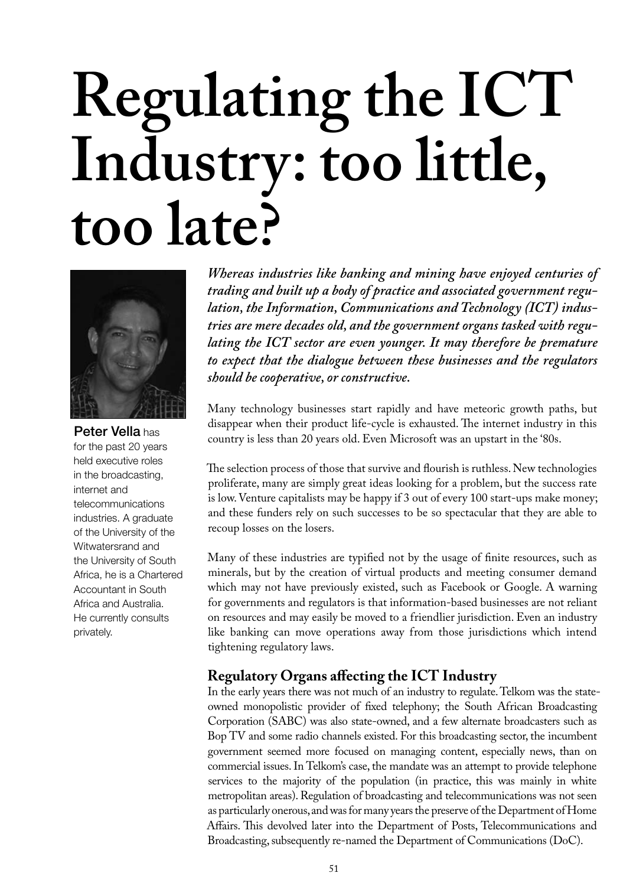# **Regulating the ICT Industry: too little, too late?**



Peter Vella has for the past 20 years held executive roles in the broadcasting, internet and telecommunications industries. A graduate of the University of the Witwatersrand and the University of South Africa, he is a Chartered Accountant in South Africa and Australia. He currently consults privately.

*Whereas industries like banking and mining have enjoyed centuries of trading and built up a body of practice and associated government regulation, the Information, Communications and Technology (ICT) industries are mere decades old, and the government organs tasked with regulating the ICT sector are even younger. It may therefore be premature to expect that the dialogue between these businesses and the regulators should be cooperative, or constructive.*

Many technology businesses start rapidly and have meteoric growth paths, but disappear when their product life-cycle is exhausted. The internet industry in this country is less than 20 years old. Even Microsoft was an upstart in the '80s.

The selection process of those that survive and flourish is ruthless. New technologies proliferate, many are simply great ideas looking for a problem, but the success rate is low. Venture capitalists may be happy if 3 out of every 100 start-ups make money; and these funders rely on such successes to be so spectacular that they are able to recoup losses on the losers.

Many of these industries are typified not by the usage of finite resources, such as minerals, but by the creation of virtual products and meeting consumer demand which may not have previously existed, such as Facebook or Google. A warning for governments and regulators is that information-based businesses are not reliant on resources and may easily be moved to a friendlier jurisdiction. Even an industry like banking can move operations away from those jurisdictions which intend tightening regulatory laws.

## **Regulatory Organs affecting the ICT Industry**

In the early years there was not much of an industry to regulate. Telkom was the stateowned monopolistic provider of fixed telephony; the South African Broadcasting Corporation (SABC) was also state-owned, and a few alternate broadcasters such as Bop TV and some radio channels existed. For this broadcasting sector, the incumbent government seemed more focused on managing content, especially news, than on commercial issues. In Telkom's case, the mandate was an attempt to provide telephone services to the majority of the population (in practice, this was mainly in white metropolitan areas). Regulation of broadcasting and telecommunications was not seen as particularly onerous, and was for many years the preserve of the Department of Home Affairs. This devolved later into the Department of Posts, Telecommunications and Broadcasting, subsequently re-named the Department of Communications (DoC).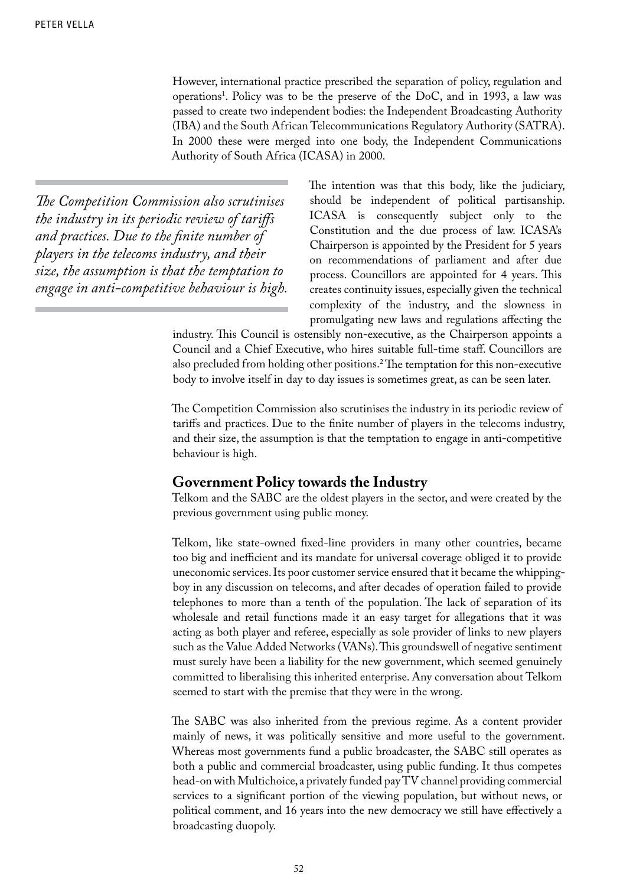However, international practice prescribed the separation of policy, regulation and operations1 . Policy was to be the preserve of the DoC, and in 1993, a law was passed to create two independent bodies: the Independent Broadcasting Authority (IBA) and the South African Telecommunications Regulatory Authority (SATRA). In 2000 these were merged into one body, the Independent Communications Authority of South Africa (ICASA) in 2000.

*The Competition Commission also scrutinises the industry in its periodic review of tariffs and practices. Due to the finite number of players in the telecoms industry, and their size, the assumption is that the temptation to engage in anti-competitive behaviour is high.* The intention was that this body, like the judiciary, should be independent of political partisanship. ICASA is consequently subject only to the Constitution and the due process of law. ICASA's Chairperson is appointed by the President for 5 years on recommendations of parliament and after due process. Councillors are appointed for 4 years. This creates continuity issues, especially given the technical complexity of the industry, and the slowness in promulgating new laws and regulations affecting the

industry. This Council is ostensibly non-executive, as the Chairperson appoints a Council and a Chief Executive, who hires suitable full-time staff. Councillors are also precluded from holding other positions.<sup>2</sup> The temptation for this non-executive body to involve itself in day to day issues is sometimes great, as can be seen later.

The Competition Commission also scrutinises the industry in its periodic review of tariffs and practices. Due to the finite number of players in the telecoms industry, and their size, the assumption is that the temptation to engage in anti-competitive behaviour is high.

#### **Government Policy towards the Industry**

Telkom and the SABC are the oldest players in the sector, and were created by the previous government using public money.

Telkom, like state-owned fixed-line providers in many other countries, became too big and inefficient and its mandate for universal coverage obliged it to provide uneconomic services. Its poor customer service ensured that it became the whippingboy in any discussion on telecoms, and after decades of operation failed to provide telephones to more than a tenth of the population. The lack of separation of its wholesale and retail functions made it an easy target for allegations that it was acting as both player and referee, especially as sole provider of links to new players such as the Value Added Networks (VANs). This groundswell of negative sentiment must surely have been a liability for the new government, which seemed genuinely committed to liberalising this inherited enterprise. Any conversation about Telkom seemed to start with the premise that they were in the wrong.

The SABC was also inherited from the previous regime. As a content provider mainly of news, it was politically sensitive and more useful to the government. Whereas most governments fund a public broadcaster, the SABC still operates as both a public and commercial broadcaster, using public funding. It thus competes head-on with Multichoice, a privately funded pay TV channel providing commercial services to a significant portion of the viewing population, but without news, or political comment, and 16 years into the new democracy we still have effectively a broadcasting duopoly.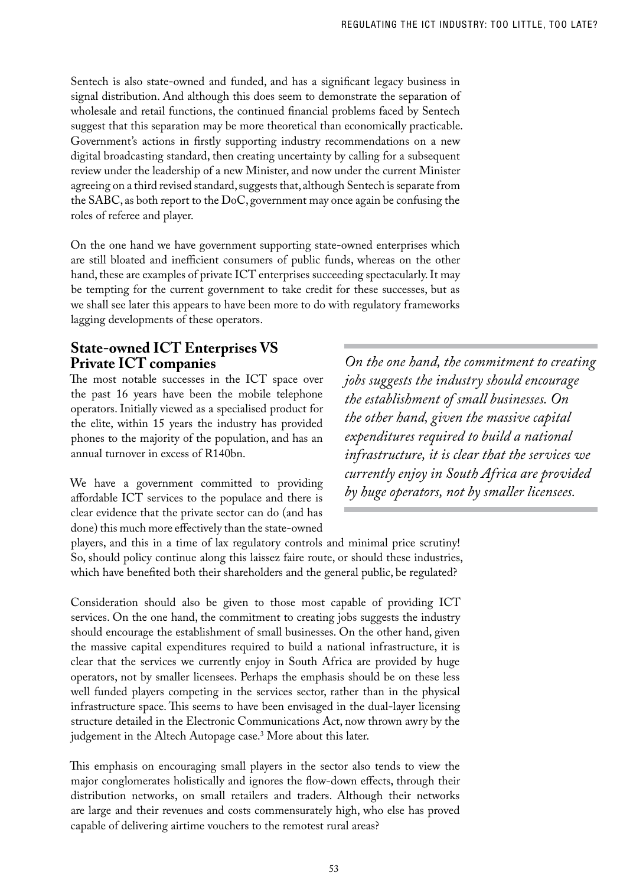Sentech is also state-owned and funded, and has a significant legacy business in signal distribution. And although this does seem to demonstrate the separation of wholesale and retail functions, the continued financial problems faced by Sentech suggest that this separation may be more theoretical than economically practicable. Government's actions in firstly supporting industry recommendations on a new digital broadcasting standard, then creating uncertainty by calling for a subsequent review under the leadership of a new Minister, and now under the current Minister agreeing on a third revised standard, suggests that, although Sentech is separate from the SABC, as both report to the DoC, government may once again be confusing the roles of referee and player.

On the one hand we have government supporting state-owned enterprises which are still bloated and inefficient consumers of public funds, whereas on the other hand, these are examples of private ICT enterprises succeeding spectacularly. It may be tempting for the current government to take credit for these successes, but as we shall see later this appears to have been more to do with regulatory frameworks lagging developments of these operators.

## **State-owned ICT Enterprises VS Private ICT companies**

The most notable successes in the ICT space over the past 16 years have been the mobile telephone operators. Initially viewed as a specialised product for the elite, within 15 years the industry has provided phones to the majority of the population, and has an annual turnover in excess of R140bn.

We have a government committed to providing affordable ICT services to the populace and there is clear evidence that the private sector can do (and has done) this much more effectively than the state-owned

*On the one hand, the commitment to creating jobs suggests the industry should encourage the establishment of small businesses. On the other hand, given the massive capital expenditures required to build a national infrastructure, it is clear that the services we currently enjoy in South Africa are provided by huge operators, not by smaller licensees.*

players, and this in a time of lax regulatory controls and minimal price scrutiny! So, should policy continue along this laissez faire route, or should these industries, which have benefited both their shareholders and the general public, be regulated?

Consideration should also be given to those most capable of providing ICT services. On the one hand, the commitment to creating jobs suggests the industry should encourage the establishment of small businesses. On the other hand, given the massive capital expenditures required to build a national infrastructure, it is clear that the services we currently enjoy in South Africa are provided by huge operators, not by smaller licensees. Perhaps the emphasis should be on these less well funded players competing in the services sector, rather than in the physical infrastructure space. This seems to have been envisaged in the dual-layer licensing structure detailed in the Electronic Communications Act, now thrown awry by the judgement in the Altech Autopage case.3 More about this later.

This emphasis on encouraging small players in the sector also tends to view the major conglomerates holistically and ignores the flow-down effects, through their distribution networks, on small retailers and traders. Although their networks are large and their revenues and costs commensurately high, who else has proved capable of delivering airtime vouchers to the remotest rural areas?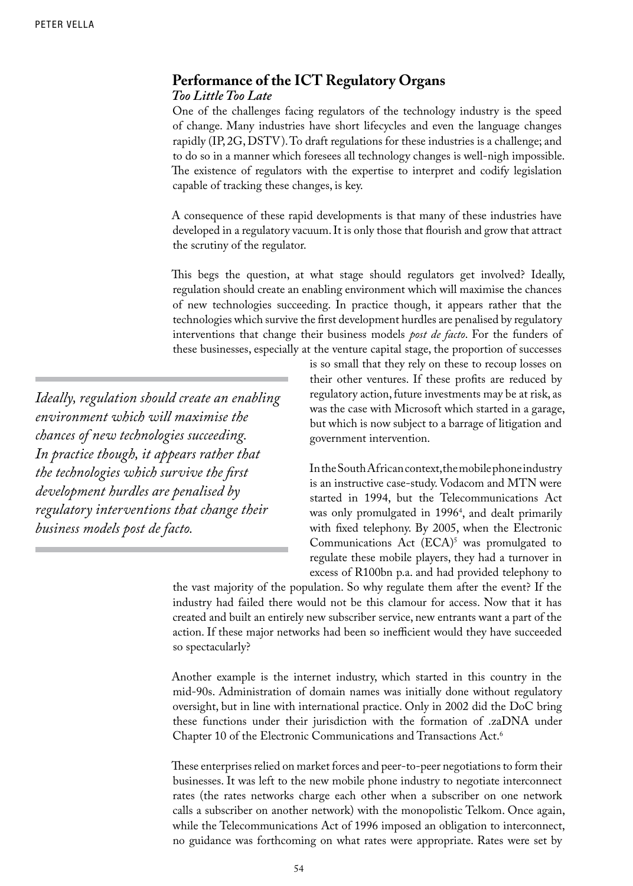# **Performance of the ICT Regulatory Organs**

#### *Too LittleToo Late*

One of the challenges facing regulators of the technology industry is the speed of change. Many industries have short lifecycles and even the language changes rapidly (IP, 2G, DSTV). To draft regulations for these industries is a challenge; and to do so in a manner which foresees all technology changes is well-nigh impossible. The existence of regulators with the expertise to interpret and codify legislation capable of tracking these changes, is key.

A consequence of these rapid developments is that many of these industries have developed in a regulatory vacuum. It is only those that flourish and grow that attract the scrutiny of the regulator.

This begs the question, at what stage should regulators get involved? Ideally, regulation should create an enabling environment which will maximise the chances of new technologies succeeding. In practice though, it appears rather that the technologies which survive the first development hurdles are penalised by regulatory interventions that change their business models *post de facto*. For the funders of these businesses, especially at the venture capital stage, the proportion of successes

*Ideally, regulation should create an enabling environment which will maximise the chances of new technologies succeeding. In practice though, it appears rather that the technologies which survive the first development hurdles are penalised by regulatory interventions that change their business models post de facto.*

is so small that they rely on these to recoup losses on their other ventures. If these profits are reduced by regulatory action, future investments may be at risk, as was the case with Microsoft which started in a garage, but which is now subject to a barrage of litigation and government intervention.

In the South African context, the mobile phone industry is an instructive case-study. Vodacom and MTN were started in 1994, but the Telecommunications Act was only promulgated in 19964 , and dealt primarily with fixed telephony. By 2005, when the Electronic Communications  $Act (ECA)<sup>5</sup>$  was promulgated to regulate these mobile players, they had a turnover in excess of R100bn p.a. and had provided telephony to

the vast majority of the population. So why regulate them after the event? If the industry had failed there would not be this clamour for access. Now that it has created and built an entirely new subscriber service, new entrants want a part of the action. If these major networks had been so inefficient would they have succeeded so spectacularly?

Another example is the internet industry, which started in this country in the mid-90s. Administration of domain names was initially done without regulatory oversight, but in line with international practice. Only in 2002 did the DoC bring these functions under their jurisdiction with the formation of .zaDNA under Chapter 10 of the Electronic Communications and Transactions Act.6

These enterprises relied on market forces and peer-to-peer negotiations to form their businesses. It was left to the new mobile phone industry to negotiate interconnect rates (the rates networks charge each other when a subscriber on one network calls a subscriber on another network) with the monopolistic Telkom. Once again, while the Telecommunications Act of 1996 imposed an obligation to interconnect, no guidance was forthcoming on what rates were appropriate. Rates were set by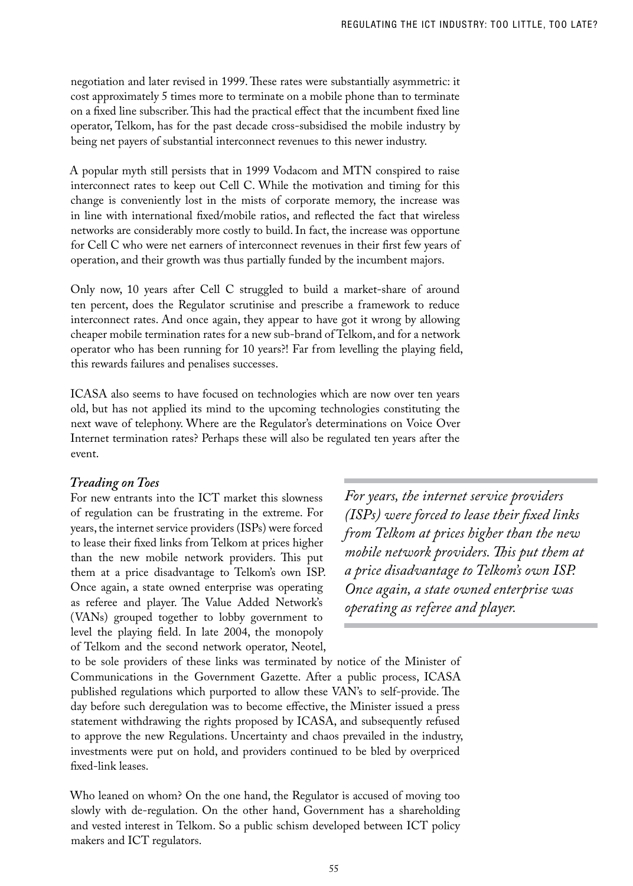negotiation and later revised in 1999. These rates were substantially asymmetric: it cost approximately 5 times more to terminate on a mobile phone than to terminate on a fixed line subscriber. This had the practical effect that the incumbent fixed line operator, Telkom, has for the past decade cross-subsidised the mobile industry by being net payers of substantial interconnect revenues to this newer industry.

A popular myth still persists that in 1999 Vodacom and MTN conspired to raise interconnect rates to keep out Cell C. While the motivation and timing for this change is conveniently lost in the mists of corporate memory, the increase was in line with international fixed/mobile ratios, and reflected the fact that wireless networks are considerably more costly to build. In fact, the increase was opportune for Cell C who were net earners of interconnect revenues in their first few years of operation, and their growth was thus partially funded by the incumbent majors.

Only now, 10 years after Cell C struggled to build a market-share of around ten percent, does the Regulator scrutinise and prescribe a framework to reduce interconnect rates. And once again, they appear to have got it wrong by allowing cheaper mobile termination rates for a new sub-brand of Telkom, and for a network operator who has been running for 10 years?! Far from levelling the playing field, this rewards failures and penalises successes.

ICASA also seems to have focused on technologies which are now over ten years old, but has not applied its mind to the upcoming technologies constituting the next wave of telephony. Where are the Regulator's determinations on Voice Over Internet termination rates? Perhaps these will also be regulated ten years after the event.

#### *Treading onToes*

For new entrants into the ICT market this slowness of regulation can be frustrating in the extreme. For years, the internet service providers (ISPs) were forced to lease their fixed links from Telkom at prices higher than the new mobile network providers. This put them at a price disadvantage to Telkom's own ISP. Once again, a state owned enterprise was operating as referee and player. The Value Added Network's (VANs) grouped together to lobby government to level the playing field. In late 2004, the monopoly of Telkom and the second network operator, Neotel,

*For years, the internet service providers (ISPs) were forced to lease their fixed links from Telkom at prices higher than the new mobile network providers. This put them at a price disadvantage to Telkom's own ISP. Once again, a state owned enterprise was operating as referee and player.*

to be sole providers of these links was terminated by notice of the Minister of Communications in the Government Gazette. After a public process, ICASA published regulations which purported to allow these VAN's to self-provide. The day before such deregulation was to become effective, the Minister issued a press statement withdrawing the rights proposed by ICASA, and subsequently refused to approve the new Regulations. Uncertainty and chaos prevailed in the industry, investments were put on hold, and providers continued to be bled by overpriced fixed-link leases.

Who leaned on whom? On the one hand, the Regulator is accused of moving too slowly with de-regulation. On the other hand, Government has a shareholding and vested interest in Telkom. So a public schism developed between ICT policy makers and ICT regulators.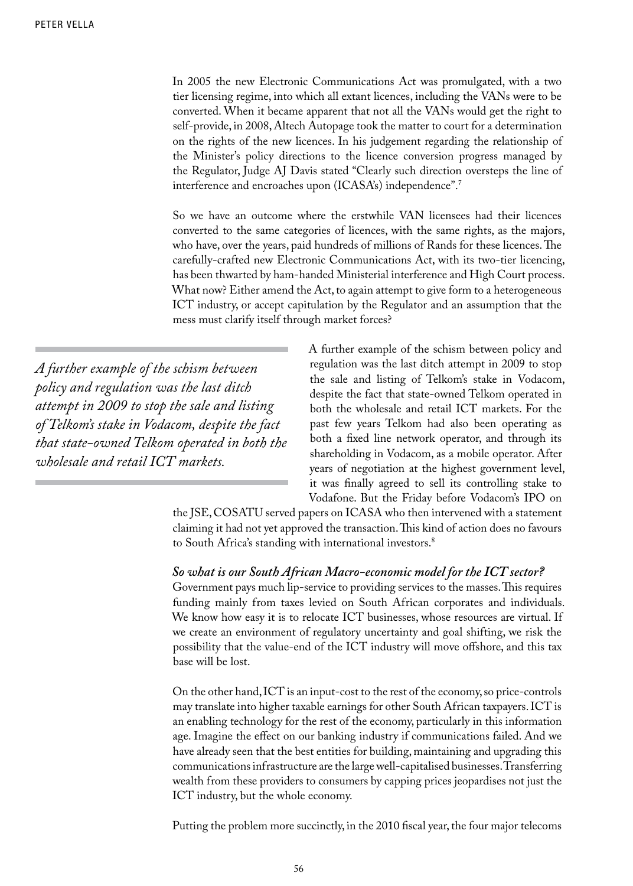In 2005 the new Electronic Communications Act was promulgated, with a two tier licensing regime, into which all extant licences, including the VANs were to be converted. When it became apparent that not all the VANs would get the right to self-provide, in 2008, Altech Autopage took the matter to court for a determination on the rights of the new licences. In his judgement regarding the relationship of the Minister's policy directions to the licence conversion progress managed by the Regulator, Judge AJ Davis stated "Clearly such direction oversteps the line of interference and encroaches upon (ICASA's) independence".7

So we have an outcome where the erstwhile VAN licensees had their licences converted to the same categories of licences, with the same rights, as the majors, who have, over the years, paid hundreds of millions of Rands for these licences. The carefully-crafted new Electronic Communications Act, with its two-tier licencing, has been thwarted by ham-handed Ministerial interference and High Court process. What now? Either amend the Act, to again attempt to give form to a heterogeneous ICT industry, or accept capitulation by the Regulator and an assumption that the mess must clarify itself through market forces?

*A further example of the schism between policy and regulation was the last ditch attempt in 2009 to stop the sale and listing of Telkom's stake in Vodacom, despite the fact that state-owned Telkom operated in both the wholesale and retail ICT markets.*

A further example of the schism between policy and regulation was the last ditch attempt in 2009 to stop the sale and listing of Telkom's stake in Vodacom, despite the fact that state-owned Telkom operated in both the wholesale and retail ICT markets. For the past few years Telkom had also been operating as both a fixed line network operator, and through its shareholding in Vodacom, as a mobile operator. After years of negotiation at the highest government level, it was finally agreed to sell its controlling stake to Vodafone. But the Friday before Vodacom's IPO on

the JSE, COSATU served papers on ICASA who then intervened with a statement claiming it had not yet approved the transaction. This kind of action does no favours to South Africa's standing with international investors.<sup>8</sup>

#### *So what is our South African Macro-economic model for the ICT sector?*

Government pays much lip-service to providing services to the masses. This requires funding mainly from taxes levied on South African corporates and individuals. We know how easy it is to relocate ICT businesses, whose resources are virtual. If we create an environment of regulatory uncertainty and goal shifting, we risk the possibility that the value-end of the ICT industry will move offshore, and this tax base will be lost.

On the other hand, ICT is an input-cost to the rest of the economy, so price-controls may translate into higher taxable earnings for other South African taxpayers. ICT is an enabling technology for the rest of the economy, particularly in this information age. Imagine the effect on our banking industry if communications failed. And we have already seen that the best entities for building, maintaining and upgrading this communications infrastructure are the large well-capitalised businesses. Transferring wealth from these providers to consumers by capping prices jeopardises not just the ICT industry, but the whole economy.

Putting the problem more succinctly, in the 2010 fiscal year, the four major telecoms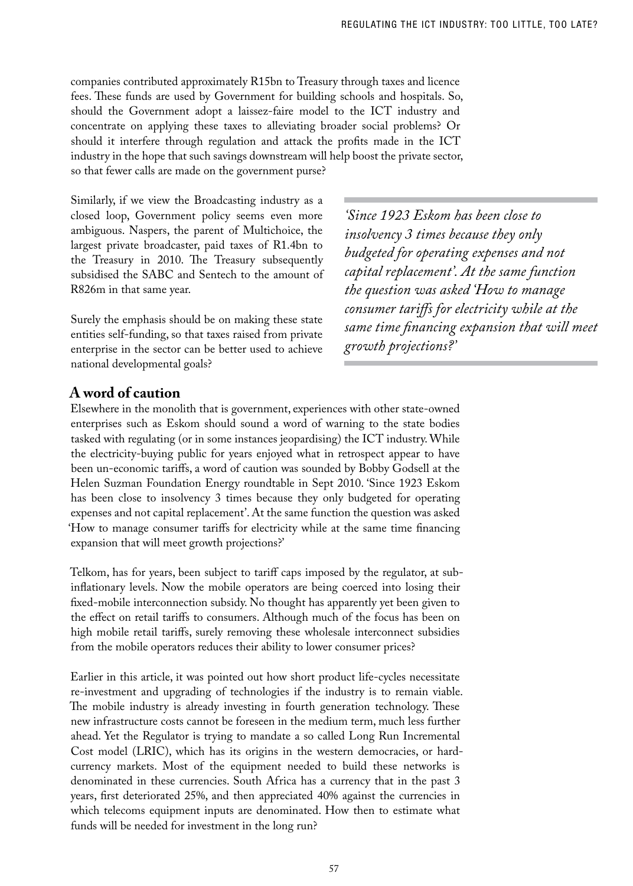companies contributed approximately R15bn to Treasury through taxes and licence fees. These funds are used by Government for building schools and hospitals. So, should the Government adopt a laissez-faire model to the ICT industry and concentrate on applying these taxes to alleviating broader social problems? Or should it interfere through regulation and attack the profits made in the ICT industry in the hope that such savings downstream will help boost the private sector, so that fewer calls are made on the government purse?

Similarly, if we view the Broadcasting industry as a closed loop, Government policy seems even more ambiguous. Naspers, the parent of Multichoice, the largest private broadcaster, paid taxes of R1.4bn to the Treasury in 2010. The Treasury subsequently subsidised the SABC and Sentech to the amount of R826m in that same year.

Surely the emphasis should be on making these state entities self-funding, so that taxes raised from private enterprise in the sector can be better used to achieve national developmental goals?

*'Since 1923 Eskom has been close to insolvency 3 times because they only budgeted for operating expenses and not capital replacement'. At the same function the question was asked 'How to manage consumer tariffs for electricity while at the same time financing expansion that will meet growth projections?'*

### **A word of caution**

Elsewhere in the monolith that is government, experiences with other state-owned enterprises such as Eskom should sound a word of warning to the state bodies tasked with regulating (or in some instances jeopardising) the ICT industry. While the electricity-buying public for years enjoyed what in retrospect appear to have been un-economic tariffs, a word of caution was sounded by Bobby Godsell at the Helen Suzman Foundation Energy roundtable in Sept 2010. 'Since 1923 Eskom has been close to insolvency 3 times because they only budgeted for operating expenses and not capital replacement'. At the same function the question was asked 'How to manage consumer tariffs for electricity while at the same time financing expansion that will meet growth projections?'

Telkom, has for years, been subject to tariff caps imposed by the regulator, at subinflationary levels. Now the mobile operators are being coerced into losing their fixed-mobile interconnection subsidy. No thought has apparently yet been given to the effect on retail tariffs to consumers. Although much of the focus has been on high mobile retail tariffs, surely removing these wholesale interconnect subsidies from the mobile operators reduces their ability to lower consumer prices?

Earlier in this article, it was pointed out how short product life-cycles necessitate re-investment and upgrading of technologies if the industry is to remain viable. The mobile industry is already investing in fourth generation technology. These new infrastructure costs cannot be foreseen in the medium term, much less further ahead. Yet the Regulator is trying to mandate a so called Long Run Incremental Cost model (LRIC), which has its origins in the western democracies, or hardcurrency markets. Most of the equipment needed to build these networks is denominated in these currencies. South Africa has a currency that in the past 3 years, first deteriorated 25%, and then appreciated 40% against the currencies in which telecoms equipment inputs are denominated. How then to estimate what funds will be needed for investment in the long run?